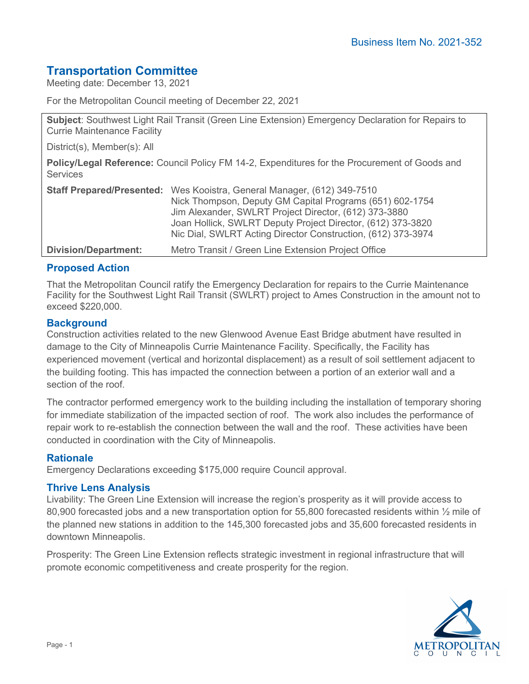# **Transportation Committee**

Meeting date: December 13, 2021

For the Metropolitan Council meeting of December 22, 2021

**Subject**: Southwest Light Rail Transit (Green Line Extension) Emergency Declaration for Repairs to Currie Maintenance Facility

District(s), Member(s): All

**Policy/Legal Reference:** Council Policy FM 14-2, Expenditures for the Procurement of Goods and **Services** 

|                             | <b>Staff Prepared/Presented:</b> Wes Kooistra, General Manager, (612) 349-7510 |
|-----------------------------|--------------------------------------------------------------------------------|
|                             | Nick Thompson, Deputy GM Capital Programs (651) 602-1754                       |
|                             | Jim Alexander, SWLRT Project Director, (612) 373-3880                          |
|                             | Joan Hollick, SWLRT Deputy Project Director, (612) 373-3820                    |
|                             | Nic Dial, SWLRT Acting Director Construction, (612) 373-3974                   |
| <b>Division/Department:</b> | Metro Transit / Green Line Extension Project Office                            |

### **Proposed Action**

That the Metropolitan Council ratify the Emergency Declaration for repairs to the Currie Maintenance Facility for the Southwest Light Rail Transit (SWLRT) project to Ames Construction in the amount not to exceed \$220,000.

#### **Background**

Construction activities related to the new Glenwood Avenue East Bridge abutment have resulted in damage to the City of Minneapolis Currie Maintenance Facility. Specifically, the Facility has experienced movement (vertical and horizontal displacement) as a result of soil settlement adjacent to the building footing. This has impacted the connection between a portion of an exterior wall and a section of the roof.

The contractor performed emergency work to the building including the installation of temporary shoring for immediate stabilization of the impacted section of roof. The work also includes the performance of repair work to re-establish the connection between the wall and the roof. These activities have been conducted in coordination with the City of Minneapolis.

#### **Rationale**

Emergency Declarations exceeding \$175,000 require Council approval.

#### **Thrive Lens Analysis**

Livability: The Green Line Extension will increase the region's prosperity as it will provide access to 80,900 forecasted jobs and a new transportation option for 55,800 forecasted residents within  $\frac{1}{2}$  mile of the planned new stations in addition to the 145,300 forecasted jobs and 35,600 forecasted residents in downtown Minneapolis.

Prosperity: The Green Line Extension reflects strategic investment in regional infrastructure that will promote economic competitiveness and create prosperity for the region.